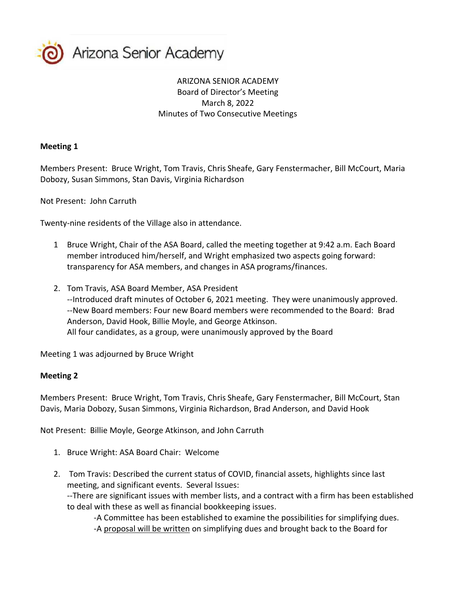

## ARIZONA SENIOR ACADEMY Board of Director's Meeting March 8, 2022 Minutes of Two Consecutive Meetings

## **Meeting 1**

Members Present: Bruce Wright, Tom Travis, Chris Sheafe, Gary Fenstermacher, Bill McCourt, Maria Dobozy, Susan Simmons, Stan Davis, Virginia Richardson

Not Present: John Carruth

Twenty-nine residents of the Village also in attendance.

- 1 Bruce Wright, Chair of the ASA Board, called the meeting together at 9:42 a.m. Each Board member introduced him/herself, and Wright emphasized two aspects going forward: transparency for ASA members, and changes in ASA programs/finances.
- 2. Tom Travis, ASA Board Member, ASA President --Introduced draft minutes of October 6, 2021 meeting. They were unanimously approved. --New Board members: Four new Board members were recommended to the Board: Brad Anderson, David Hook, Billie Moyle, and George Atkinson. All four candidates, as a group, were unanimously approved by the Board

Meeting 1 was adjourned by Bruce Wright

## **Meeting 2**

Members Present: Bruce Wright, Tom Travis, Chris Sheafe, Gary Fenstermacher, Bill McCourt, Stan Davis, Maria Dobozy, Susan Simmons, Virginia Richardson, Brad Anderson, and David Hook

Not Present: Billie Moyle, George Atkinson, and John Carruth

- 1. Bruce Wright: ASA Board Chair: Welcome
- 2. Tom Travis: Described the current status of COVID, financial assets, highlights since last meeting, and significant events. Several Issues:

--There are significant issues with member lists, and a contract with a firm has been established to deal with these as well as financial bookkeeping issues.

-A Committee has been established to examine the possibilities for simplifying dues. -A proposal will be written on simplifying dues and brought back to the Board for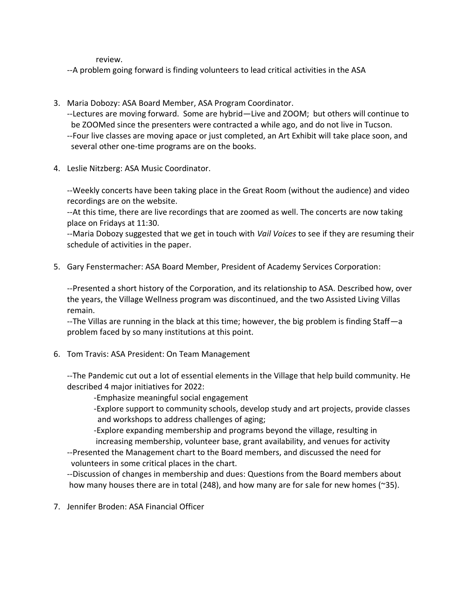review.

--A problem going forward is finding volunteers to lead critical activities in the ASA

- 3. Maria Dobozy: ASA Board Member, ASA Program Coordinator. --Lectures are moving forward. Some are hybrid—Live and ZOOM; but others will continue to be ZOOMed since the presenters were contracted a while ago, and do not live in Tucson. --Four live classes are moving apace or just completed, an Art Exhibit will take place soon, and several other one-time programs are on the books.
- 4. Leslie Nitzberg: ASA Music Coordinator.

--Weekly concerts have been taking place in the Great Room (without the audience) and video recordings are on the website.

--At this time, there are live recordings that are zoomed as well. The concerts are now taking place on Fridays at 11:30.

--Maria Dobozy suggested that we get in touch with *Vail Voices* to see if they are resuming their schedule of activities in the paper.

5. Gary Fenstermacher: ASA Board Member, President of Academy Services Corporation:

--Presented a short history of the Corporation, and its relationship to ASA. Described how, over the years, the Village Wellness program was discontinued, and the two Assisted Living Villas remain.

--The Villas are running in the black at this time; however, the big problem is finding Staff—a problem faced by so many institutions at this point.

6. Tom Travis: ASA President: On Team Management

--The Pandemic cut out a lot of essential elements in the Village that help build community. He described 4 major initiatives for 2022:

- -Emphasize meaningful social engagement
- -Explore support to community schools, develop study and art projects, provide classes and workshops to address challenges of aging;

 -Explore expanding membership and programs beyond the village, resulting in increasing membership, volunteer base, grant availability, and venues for activity

--Presented the Management chart to the Board members, and discussed the need for volunteers in some critical places in the chart.

--Discussion of changes in membership and dues: Questions from the Board members about how many houses there are in total (248), and how many are for sale for new homes (~35).

7. Jennifer Broden: ASA Financial Officer